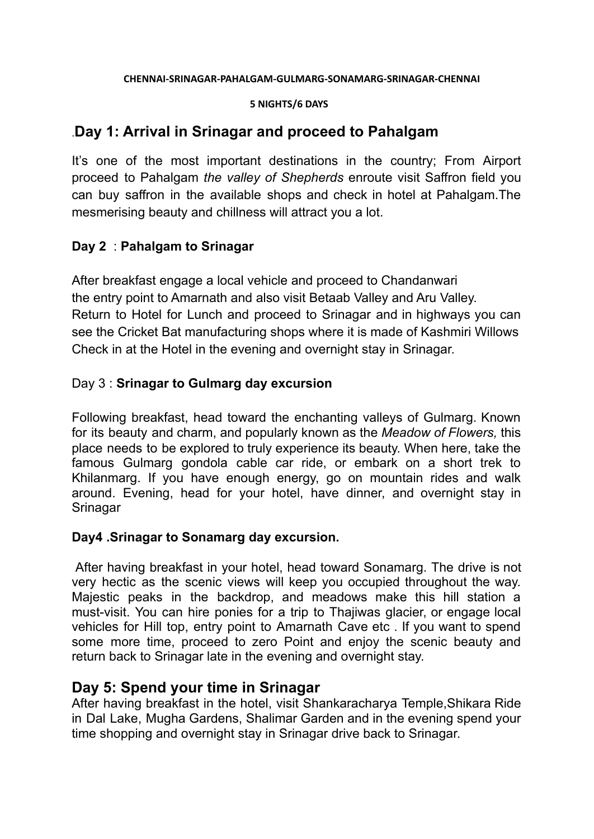#### **CHENNAI-SRINAGAR-PAHALGAM-GULMARG-SONAMARG-SRINAGAR-CHENNAI**

#### **5 NIGHTS/6 DAYS**

## .**Day 1: Arrival in Srinagar and proceed to Pahalgam**

It's one of the most important destinations in the country; From Airport proceed to Pahalgam *the valley of Shepherds* enroute visit Saffron field you can buy saffron in the available shops and check in hotel at Pahalgam.The mesmerising beauty and chillness will attract you a lot.

### **Day 2** : **Pahalgam to Srinagar**

After breakfast engage a local vehicle and proceed to Chandanwari the entry point to Amarnath and also visit Betaab Valley and Aru Valley. Return to Hotel for Lunch and proceed to Srinagar and in highways you can see the Cricket Bat manufacturing shops where it is made of Kashmiri Willows Check in at the Hotel in the evening and overnight stay in Srinagar.

### Day 3 : **Srinagar to Gulmarg day excursion**

Following breakfast, head toward the enchanting valleys of Gulmarg. Known for its beauty and charm, and popularly known as the *Meadow of Flowers,* this place needs to be explored to truly experience its beauty. When here, take the famous Gulmarg gondola cable car ride, or embark on a short trek to Khilanmarg. If you have enough energy, go on mountain rides and walk around. Evening, head for your hotel, have dinner, and overnight stay in Srinagar

#### **Day4 .Srinagar to Sonamarg day excursion.**

After having breakfast in your hotel, head toward Sonamarg. The drive is not very hectic as the scenic views will keep you occupied throughout the way. Majestic peaks in the backdrop, and meadows make this hill station a must-visit. You can hire ponies for a trip to Thajiwas glacier, or engage local vehicles for Hill top, entry point to Amarnath Cave etc . If you want to spend some more time, proceed to zero Point and enjoy the scenic beauty and return back to Srinagar late in the evening and overnight stay.

## **Day 5: Spend your time in Srinagar**

After having breakfast in the hotel, visit Shankaracharya Temple,Shikara Ride in Dal Lake, Mugha Gardens, Shalimar Garden and in the evening spend your time shopping and overnight stay in Srinagar drive back to Srinagar.